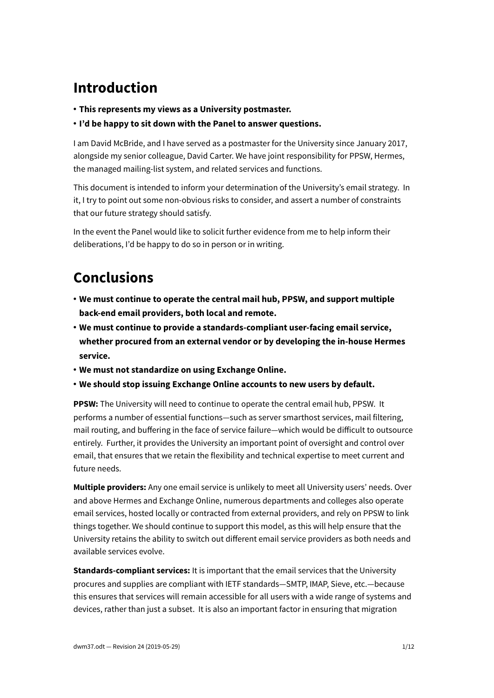## **Introduction**

- **This represents my views as a University postmaster.**
- **I'd be happy to sit down with the Panel to answer questions.**

I am David McBride, and I have served as a postmaster for the University since January 2017, alongside my senior colleague, David Carter. We have joint responsibility for PPSW, Hermes, the managed mailing-list system, and related services and functions.

This document is intended to inform your determination of the University's email strategy. In it, I try to point out some non-obvious risks to consider, and assert a number of constraints that our future strategy should satisfy.

In the event the Panel would like to solicit further evidence from me to help inform their deliberations, I'd be happy to do so in person or in writing.

# **Conclusions**

- **We must continue to operate the central mail hub, PPSW, and support multiple back-end email providers, both local and remote.**
- **We must continue to provide a standards-compliant user-facing email service, whether procured from an external vendor or by developing the in-house Hermes service.**
- **We must not standardize on using Exchange Online.**
- **We should stop issuing Exchange Online accounts to new users by default.**

**PPSW:** The University will need to continue to operate the central email hub, PPSW. It performs a number of essential functions—such as server smarthost services, mail filtering, mail routing, and buffering in the face of service failure—which would be difficult to outsource entirely. Further, it provides the University an important point of oversight and control over email, that ensures that we retain the flexibility and technical expertise to meet current and future needs.

**Multiple providers:** Any one email service is unlikely to meet all University users' needs. Over and above Hermes and Exchange Online, numerous departments and colleges also operate email services, hosted locally or contracted from external providers, and rely on PPSW to link things together. We should continue to support this model, as this will help ensure that the University retains the ability to switch out different email service providers as both needs and available services evolve.

**Standards-compliant services:** It is important that the email services that the University procures and supplies are compliant with IETF standards—SMTP, IMAP, Sieve, etc.—because this ensures that services will remain accessible for all users with a wide range of systems and devices, rather than just a subset. It is also an important factor in ensuring that migration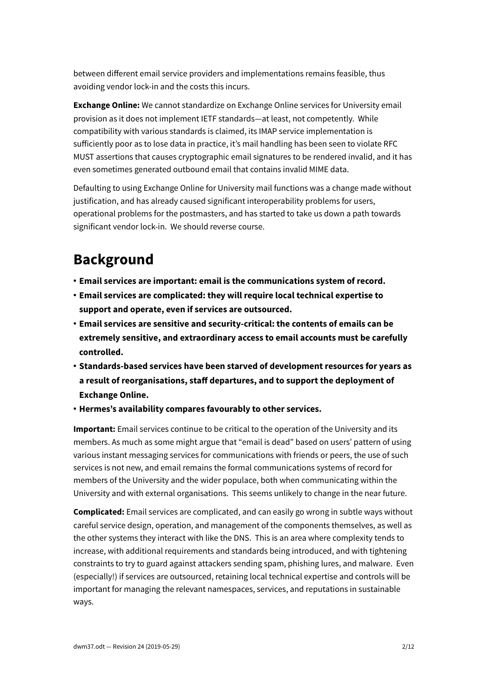between different email service providers and implementations remains feasible, thus avoiding vendor lock-in and the costs this incurs.

**Exchange Online:** We cannot standardize on Exchange Online services for University email provision as it does not implement IETF standards—at least, not competently. While compatibility with various standards is claimed, its IMAP service implementation is sufficiently poor as to lose data in practice, it's mail handling has been seen to violate RFC MUST assertions that causes cryptographic email signatures to be rendered invalid, and it has even sometimes generated outbound email that contains invalid MIME data.

Defaulting to using Exchange Online for University mail functions was a change made without justification, and has already caused significant interoperability problems for users, operational problems for the postmasters, and has started to take us down a path towards significant vendor lock-in. We should reverse course.

### **Background**

- **Email services are important: email is the communications system of record.**
- **Email services are complicated: they will require local technical expertise to support and operate, even if services are outsourced.**
- **Email services are sensitive and security-critical: the contents of emails can be extremely sensitive, and extraordinary access to email accounts must be carefully controlled.**
- **Standards-based services have been starved of development resources for years as a result of reorganisations, staff departures, and to support the deployment of Exchange Online.**
- **Hermes's availability compares favourably to other services.**

**Important:** Email services continue to be critical to the operation of the University and its members. As much as some might argue that "email is dead" based on users' pattern of using various instant messaging services for communications with friends or peers, the use of such services is not new, and email remains the formal communications systems of record for members of the University and the wider populace, both when communicating within the University and with external organisations. This seems unlikely to change in the near future.

**Complicated:** Email services are complicated, and can easily go wrong in subtle ways without careful service design, operation, and management of the components themselves, as well as the other systems they interact with like the DNS. This is an area where complexity tends to increase, with additional requirements and standards being introduced, and with tightening constraints to try to guard against attackers sending spam, phishing lures, and malware. Even (especially!) if services are outsourced, retaining local technical expertise and controls will be important for managing the relevant namespaces, services, and reputations in sustainable ways.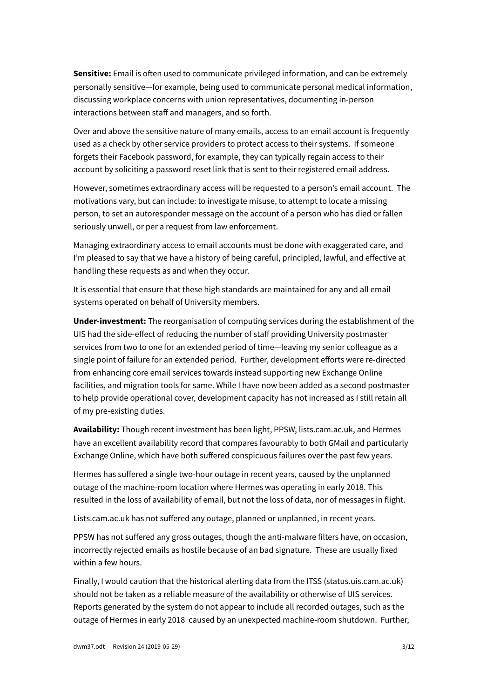**Sensitive:** Email is often used to communicate privileged information, and can be extremely personally sensitive—for example, being used to communicate personal medical information, discussing workplace concerns with union representatives, documenting in-person interactions between staff and managers, and so forth.

Over and above the sensitive nature of many emails, access to an email account is frequently used as a check by other service providers to protect access to their systems. If someone forgets their Facebook password, for example, they can typically regain access to their account by soliciting a password reset link that is sent to their registered email address.

However, sometimes extraordinary access will be requested to a person's email account. The motivations vary, but can include: to investigate misuse, to attempt to locate a missing person, to set an autoresponder message on the account of a person who has died or fallen seriously unwell, or per a request from law enforcement.

Managing extraordinary access to email accounts must be done with exaggerated care, and I'm pleased to say that we have a history of being careful, principled, lawful, and effective at handling these requests as and when they occur.

It is essential that ensure that these high standards are maintained for any and all email systems operated on behalf of University members.

**Under-investment:** The reorganisation of computing services during the establishment of the UIS had the side-effect of reducing the number of staff providing University postmaster services from two to one for an extended period of time—leaving my senior colleague as a single point of failure for an extended period. Further, development efforts were re-directed from enhancing core email services towards instead supporting new Exchange Online facilities, and migration tools for same. While I have now been added as a second postmaster to help provide operational cover, development capacity has not increased as I still retain all of my pre-existing duties.

**Availability:** Though recent investment has been light, PPSW, lists.cam.ac.uk, and Hermes have an excellent availability record that compares favourably to both GMail and particularly Exchange Online, which have both suffered conspicuous failures over the past few years.

Hermes has suffered a single two-hour outage in recent years, caused by the unplanned outage of the machine-room location where Hermes was operating in early 2018. This resulted in the loss of availability of email, but not the loss of data, nor of messages in flight.

Lists.cam.ac.uk has not suffered any outage, planned or unplanned, in recent years.

PPSW has not suffered any gross outages, though the anti-malware filters have, on occasion, incorrectly rejected emails as hostile because of an bad signature. These are usually fixed within a few hours.

Finally, I would caution that the historical alerting data from the ITSS (status.uis.cam.ac.uk) should not be taken as a reliable measure of the availability or otherwise of UIS services. Reports generated by the system do not appear to include all recorded outages, such as the outage of Hermes in early 2018 caused by an unexpected machine-room shutdown. Further,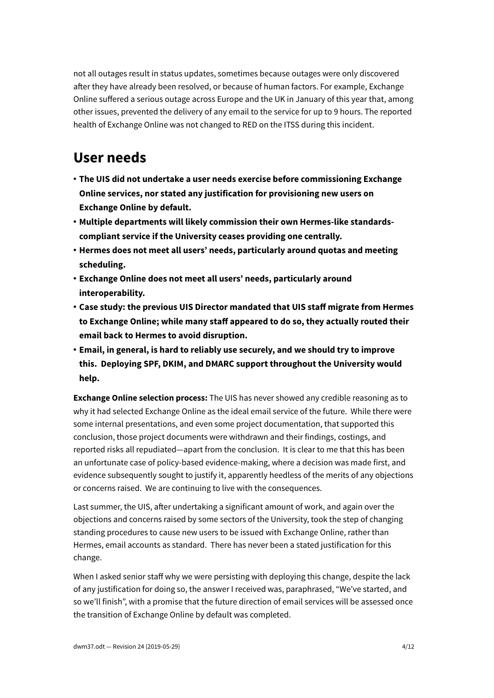not all outages result in status updates, sometimes because outages were only discovered after they have already been resolved, or because of human factors. For example, Exchange Online suffered a serious outage across Europe and the UK in January of this year that, among other issues, prevented the delivery of any email to the service for up to 9 hours. The reported health of Exchange Online was not changed to RED on the ITSS during this incident.

#### **User needs**

- **The UIS did not undertake a user needs exercise before commissioning Exchange Online services, nor stated any justification for provisioning new users on Exchange Online by default.**
- **Multiple departments will likely commission their own Hermes-like standardscompliant service if the University ceases providing one centrally.**
- **Hermes does not meet all users' needs, particularly around quotas and meeting scheduling.**
- **Exchange Online does not meet all users' needs, particularly around interoperability.**
- **Case study: the previous UIS Director mandated that UIS staff migrate from Hermes to Exchange Online; while many staff appeared to do so, they actually routed their email back to Hermes to avoid disruption.**
- **Email, in general, is hard to reliably use securely, and we should try to improve this. Deploying SPF, DKIM, and DMARC support throughout the University would help.**

**Exchange Online selection process:** The UIS has never showed any credible reasoning as to why it had selected Exchange Online as the ideal email service of the future. While there were some internal presentations, and even some project documentation, that supported this conclusion, those project documents were withdrawn and their findings, costings, and reported risks all repudiated—apart from the conclusion. It is clear to me that this has been an unfortunate case of policy-based evidence-making, where a decision was made first, and evidence subsequently sought to justify it, apparently heedless of the merits of any objections or concerns raised. We are continuing to live with the consequences.

Last summer, the UIS, after undertaking a significant amount of work, and again over the objections and concerns raised by some sectors of the University, took the step of changing standing procedures to cause new users to be issued with Exchange Online, rather than Hermes, email accounts as standard. There has never been a stated justification for this change.

When I asked senior staff why we were persisting with deploying this change, despite the lack of any justification for doing so, the answer I received was, paraphrased, "We've started, and so we'll finish", with a promise that the future direction of email services will be assessed once the transition of Exchange Online by default was completed.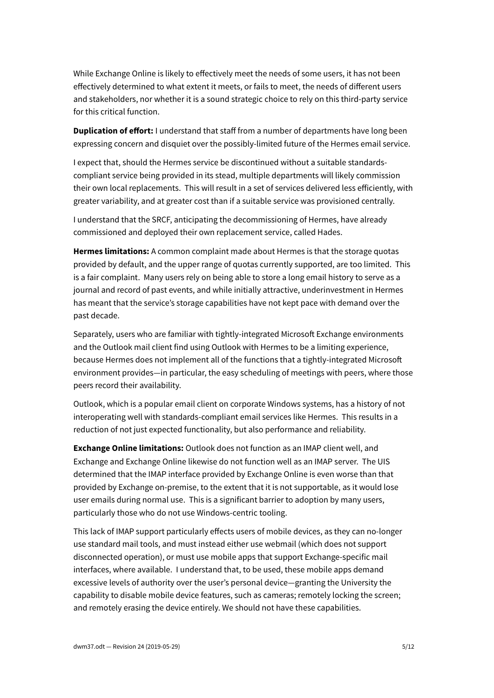While Exchange Online is likely to effectively meet the needs of some users, it has not been effectively determined to what extent it meets, or fails to meet, the needs of different users and stakeholders, nor whether it is a sound strategic choice to rely on this third-party service for this critical function.

**Duplication of effort:** I understand that staff from a number of departments have long been expressing concern and disquiet over the possibly-limited future of the Hermes email service.

I expect that, should the Hermes service be discontinued without a suitable standardscompliant service being provided in its stead, multiple departments will likely commission their own local replacements. This will result in a set of services delivered less efficiently, with greater variability, and at greater cost than if a suitable service was provisioned centrally.

I understand that the SRCF, anticipating the decommissioning of Hermes, have already commissioned and deployed their own replacement service, called Hades.

**Hermes limitations:** A common complaint made about Hermes is that the storage quotas provided by default, and the upper range of quotas currently supported, are too limited. This is a fair complaint. Many users rely on being able to store a long email history to serve as a journal and record of past events, and while initially attractive, underinvestment in Hermes has meant that the service's storage capabilities have not kept pace with demand over the past decade.

Separately, users who are familiar with tightly-integrated Microsoft Exchange environments and the Outlook mail client find using Outlook with Hermes to be a limiting experience, because Hermes does not implement all of the functions that a tightly-integrated Microsoft environment provides—in particular, the easy scheduling of meetings with peers, where those peers record their availability.

Outlook, which is a popular email client on corporate Windows systems, has a history of not interoperating well with standards-compliant email services like Hermes. This results in a reduction of not just expected functionality, but also performance and reliability.

**Exchange Online limitations:** Outlook does not function as an IMAP client well, and Exchange and Exchange Online likewise do not function well as an IMAP server. The UIS determined that the IMAP interface provided by Exchange Online is even worse than that provided by Exchange on-premise, to the extent that it is not supportable, as it would lose user emails during normal use. This is a significant barrier to adoption by many users, particularly those who do not use Windows-centric tooling.

This lack of IMAP support particularly effects users of mobile devices, as they can no-longer use standard mail tools, and must instead either use webmail (which does not support disconnected operation), or must use mobile apps that support Exchange-specific mail interfaces, where available. I understand that, to be used, these mobile apps demand excessive levels of authority over the user's personal device—granting the University the capability to disable mobile device features, such as cameras; remotely locking the screen; and remotely erasing the device entirely. We should not have these capabilities.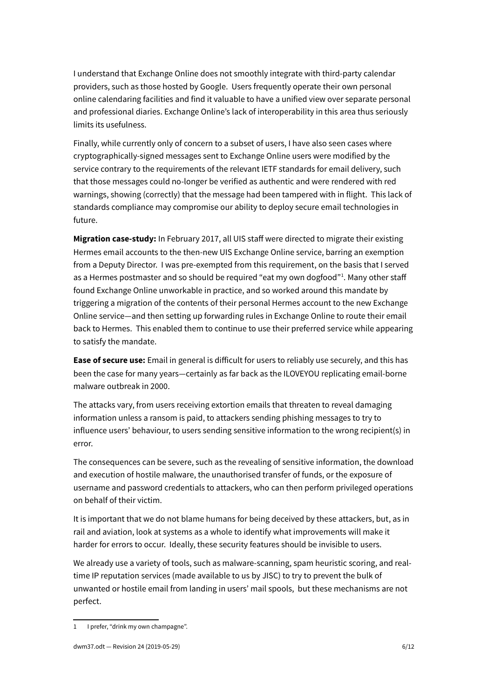I understand that Exchange Online does not smoothly integrate with third-party calendar providers, such as those hosted by Google. Users frequently operate their own personal online calendaring facilities and find it valuable to have a unified view over separate personal and professional diaries. Exchange Online's lack of interoperability in this area thus seriously limits its usefulness.

Finally, while currently only of concern to a subset of users, I have also seen cases where cryptographically-signed messages sent to Exchange Online users were modified by the service contrary to the requirements of the relevant IETF standards for email delivery, such that those messages could no-longer be verified as authentic and were rendered with red warnings, showing (correctly) that the message had been tampered with in flight. This lack of standards compliance may compromise our ability to deploy secure email technologies in future.

**Migration case-study:** In February 2017, all UIS staff were directed to migrate their existing Hermes email accounts to the then-new UIS Exchange Online service, barring an exemption from a Deputy Director. I was pre-exempted from this requirement, on the basis that I served as a Hermes postmaster and so should be required "eat my own dogfood"<sup>[1](#page-5-0)</sup>. Many other staff found Exchange Online unworkable in practice, and so worked around this mandate by triggering a migration of the contents of their personal Hermes account to the new Exchange Online service—and then setting up forwarding rules in Exchange Online to route their email back to Hermes. This enabled them to continue to use their preferred service while appearing to satisfy the mandate.

**Ease of secure use:** Email in general is difficult for users to reliably use securely, and this has been the case for many years—certainly as far back as the ILOVEYOU replicating email-borne malware outbreak in 2000.

The attacks vary, from users receiving extortion emails that threaten to reveal damaging information unless a ransom is paid, to attackers sending phishing messages to try to influence users' behaviour, to users sending sensitive information to the wrong recipient(s) in error.

The consequences can be severe, such as the revealing of sensitive information, the download and execution of hostile malware, the unauthorised transfer of funds, or the exposure of username and password credentials to attackers, who can then perform privileged operations on behalf of their victim.

It is important that we do not blame humans for being deceived by these attackers, but, as in rail and aviation, look at systems as a whole to identify what improvements will make it harder for errors to occur. Ideally, these security features should be invisible to users.

We already use a variety of tools, such as malware-scanning, spam heuristic scoring, and realtime IP reputation services (made available to us by JISC) to try to prevent the bulk of unwanted or hostile email from landing in users' mail spools, but these mechanisms are not perfect.

<span id="page-5-0"></span><sup>1</sup> I prefer, "drink my own champagne".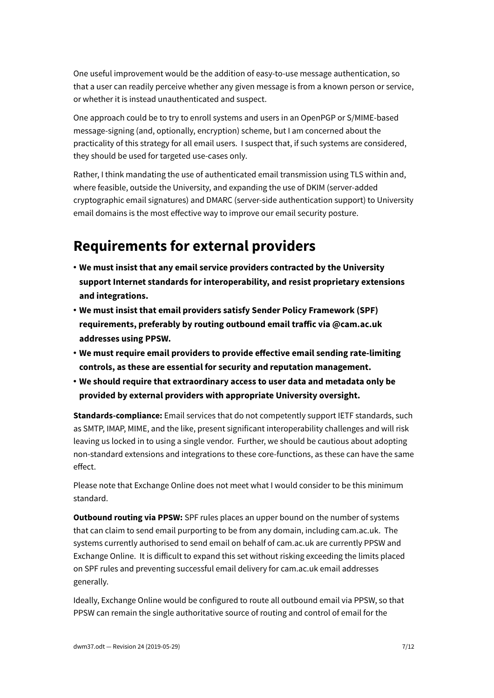One useful improvement would be the addition of easy-to-use message authentication, so that a user can readily perceive whether any given message is from a known person or service, or whether it is instead unauthenticated and suspect.

One approach could be to try to enroll systems and users in an OpenPGP or S/MIME-based message-signing (and, optionally, encryption) scheme, but I am concerned about the practicality of this strategy for all email users. I suspect that, if such systems are considered, they should be used for targeted use-cases only.

Rather, I think mandating the use of authenticated email transmission using TLS within and, where feasible, outside the University, and expanding the use of DKIM (server-added cryptographic email signatures) and DMARC (server-side authentication support) to University email domains is the most effective way to improve our email security posture.

#### **Requirements for external providers**

- **We must insist that any email service providers contracted by the University support Internet standards for interoperability, and resist proprietary extensions and integrations.**
- **We must insist that email providers satisfy Sender Policy Framework (SPF) requirements, preferably by routing outbound email traffic via @cam.ac.uk addresses using PPSW.**
- **We must require email providers to provide effective email sending rate-limiting controls, as these are essential for security and reputation management.**
- **We should require that extraordinary access to user data and metadata only be provided by external providers with appropriate University oversight.**

**Standards-compliance:** Email services that do not competently support IETF standards, such as SMTP, IMAP, MIME, and the like, present significant interoperability challenges and will risk leaving us locked in to using a single vendor. Further, we should be cautious about adopting non-standard extensions and integrations to these core-functions, as these can have the same effect.

Please note that Exchange Online does not meet what I would consider to be this minimum standard.

**Outbound routing via PPSW:** SPF rules places an upper bound on the number of systems that can claim to send email purporting to be from any domain, including cam.ac.uk. The systems currently authorised to send email on behalf of cam.ac.uk are currently PPSW and Exchange Online. It is difficult to expand this set without risking exceeding the limits placed on SPF rules and preventing successful email delivery for cam.ac.uk email addresses generally.

Ideally, Exchange Online would be configured to route all outbound email via PPSW, so that PPSW can remain the single authoritative source of routing and control of email for the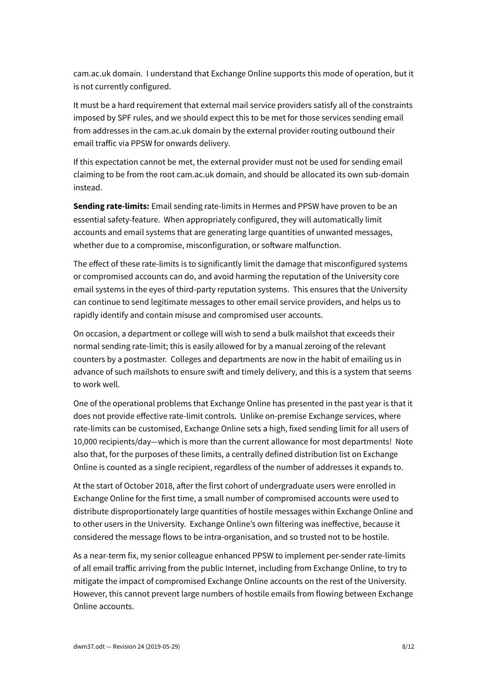cam.ac.uk domain. I understand that Exchange Online supports this mode of operation, but it is not currently configured.

It must be a hard requirement that external mail service providers satisfy all of the constraints imposed by SPF rules, and we should expect this to be met for those services sending email from addresses in the cam.ac.uk domain by the external provider routing outbound their email traffic via PPSW for onwards delivery.

If this expectation cannot be met, the external provider must not be used for sending email claiming to be from the root cam.ac.uk domain, and should be allocated its own sub-domain instead.

**Sending rate-limits:** Email sending rate-limits in Hermes and PPSW have proven to be an essential safety-feature. When appropriately configured, they will automatically limit accounts and email systems that are generating large quantities of unwanted messages, whether due to a compromise, misconfiguration, or software malfunction.

The effect of these rate-limits is to significantly limit the damage that misconfigured systems or compromised accounts can do, and avoid harming the reputation of the University core email systems in the eyes of third-party reputation systems. This ensures that the University can continue to send legitimate messages to other email service providers, and helps us to rapidly identify and contain misuse and compromised user accounts.

On occasion, a department or college will wish to send a bulk mailshot that exceeds their normal sending rate-limit; this is easily allowed for by a manual zeroing of the relevant counters by a postmaster. Colleges and departments are now in the habit of emailing us in advance of such mailshots to ensure swift and timely delivery, and this is a system that seems to work well.

One of the operational problems that Exchange Online has presented in the past year is that it does not provide effective rate-limit controls. Unlike on-premise Exchange services, where rate-limits can be customised, Exchange Online sets a high, fixed sending limit for all users of 10,000 recipients/day—which is more than the current allowance for most departments! Note also that, for the purposes of these limits, a centrally defined distribution list on Exchange Online is counted as a single recipient, regardless of the number of addresses it expands to.

At the start of October 2018, after the first cohort of undergraduate users were enrolled in Exchange Online for the first time, a small number of compromised accounts were used to distribute disproportionately large quantities of hostile messages within Exchange Online and to other users in the University. Exchange Online's own filtering was ineffective, because it considered the message flows to be intra-organisation, and so trusted not to be hostile.

As a near-term fix, my senior colleague enhanced PPSW to implement per-sender rate-limits of all email traffic arriving from the public Internet, including from Exchange Online, to try to mitigate the impact of compromised Exchange Online accounts on the rest of the University. However, this cannot prevent large numbers of hostile emails from flowing between Exchange Online accounts.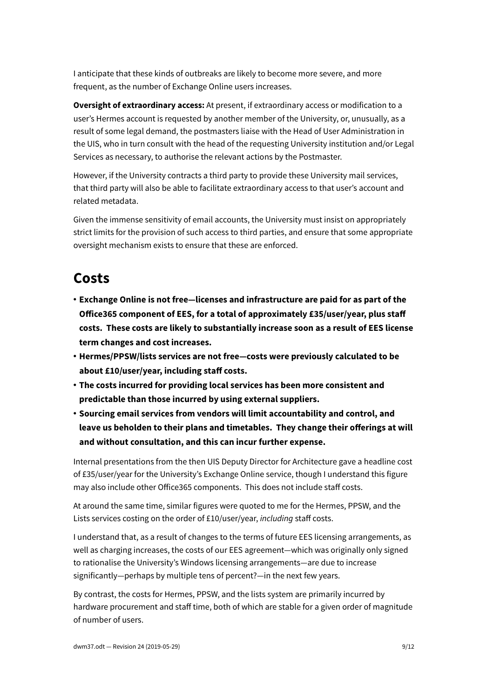I anticipate that these kinds of outbreaks are likely to become more severe, and more frequent, as the number of Exchange Online users increases.

**Oversight of extraordinary access:** At present, if extraordinary access or modification to a user's Hermes account is requested by another member of the University, or, unusually, as a result of some legal demand, the postmasters liaise with the Head of User Administration in the UIS, who in turn consult with the head of the requesting University institution and/or Legal Services as necessary, to authorise the relevant actions by the Postmaster.

However, if the University contracts a third party to provide these University mail services, that third party will also be able to facilitate extraordinary access to that user's account and related metadata.

Given the immense sensitivity of email accounts, the University must insist on appropriately strict limits for the provision of such access to third parties, and ensure that some appropriate oversight mechanism exists to ensure that these are enforced.

### **Costs**

- **Exchange Online is not free—licenses and infrastructure are paid for as part of the Office365 component of EES, for a total of approximately £35/user/year, plus staff costs. These costs are likely to substantially increase soon as a result of EES license term changes and cost increases.**
- **Hermes/PPSW/lists services are not free—costs were previously calculated to be about £10/user/year, including staff costs.**
- **The costs incurred for providing local services has been more consistent and predictable than those incurred by using external suppliers.**
- **Sourcing email services from vendors will limit accountability and control, and leave us beholden to their plans and timetables. They change their offerings at will and without consultation, and this can incur further expense.**

Internal presentations from the then UIS Deputy Director for Architecture gave a headline cost of £35/user/year for the University's Exchange Online service, though I understand this figure may also include other Office365 components. This does not include staff costs.

At around the same time, similar figures were quoted to me for the Hermes, PPSW, and the Lists services costing on the order of £10/user/year, *including* staff costs.

I understand that, as a result of changes to the terms of future EES licensing arrangements, as well as charging increases, the costs of our EES agreement—which was originally only signed to rationalise the University's Windows licensing arrangements—are due to increase significantly—perhaps by multiple tens of percent?—in the next few years.

By contrast, the costs for Hermes, PPSW, and the lists system are primarily incurred by hardware procurement and staff time, both of which are stable for a given order of magnitude of number of users.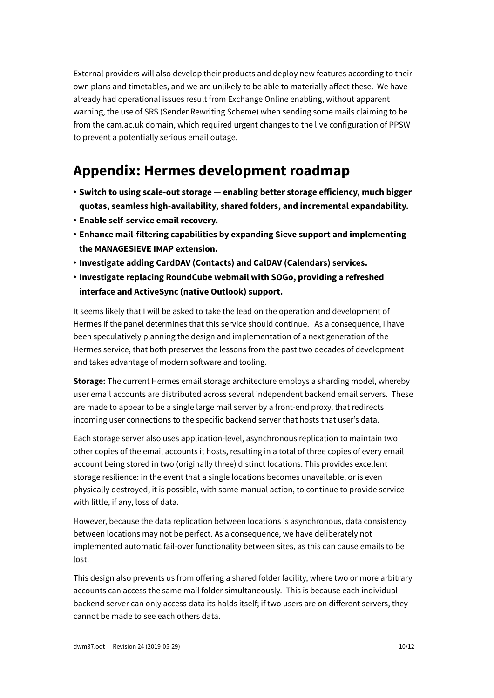External providers will also develop their products and deploy new features according to their own plans and timetables, and we are unlikely to be able to materially affect these. We have already had operational issues result from Exchange Online enabling, without apparent warning, the use of SRS (Sender Rewriting Scheme) when sending some mails claiming to be from the cam.ac.uk domain, which required urgent changes to the live configuration of PPSW to prevent a potentially serious email outage.

### **Appendix: Hermes development roadmap**

- **Switch to using scale-out storage enabling better storage efficiency, much bigger quotas, seamless high-availability, shared folders, and incremental expandability.**
- **Enable self-service email recovery.**
- **Enhance mail-filtering capabilities by expanding Sieve support and implementing the MANAGESIEVE IMAP extension.**
- **Investigate adding CardDAV (Contacts) and CalDAV (Calendars) services.**
- **Investigate replacing RoundCube webmail with SOGo, providing a refreshed interface and ActiveSync (native Outlook) support.**

It seems likely that I will be asked to take the lead on the operation and development of Hermes if the panel determines that this service should continue. As a consequence, I have been speculatively planning the design and implementation of a next generation of the Hermes service, that both preserves the lessons from the past two decades of development and takes advantage of modern software and tooling.

**Storage:** The current Hermes email storage architecture employs a sharding model, whereby user email accounts are distributed across several independent backend email servers. These are made to appear to be a single large mail server by a front-end proxy, that redirects incoming user connections to the specific backend server that hosts that user's data.

Each storage server also uses application-level, asynchronous replication to maintain two other copies of the email accounts it hosts, resulting in a total of three copies of every email account being stored in two (originally three) distinct locations. This provides excellent storage resilience: in the event that a single locations becomes unavailable, or is even physically destroyed, it is possible, with some manual action, to continue to provide service with little, if any, loss of data.

However, because the data replication between locations is asynchronous, data consistency between locations may not be perfect. As a consequence, we have deliberately not implemented automatic fail-over functionality between sites, as this can cause emails to be lost.

This design also prevents us from offering a shared folder facility, where two or more arbitrary accounts can access the same mail folder simultaneously. This is because each individual backend server can only access data its holds itself; if two users are on different servers, they cannot be made to see each others data.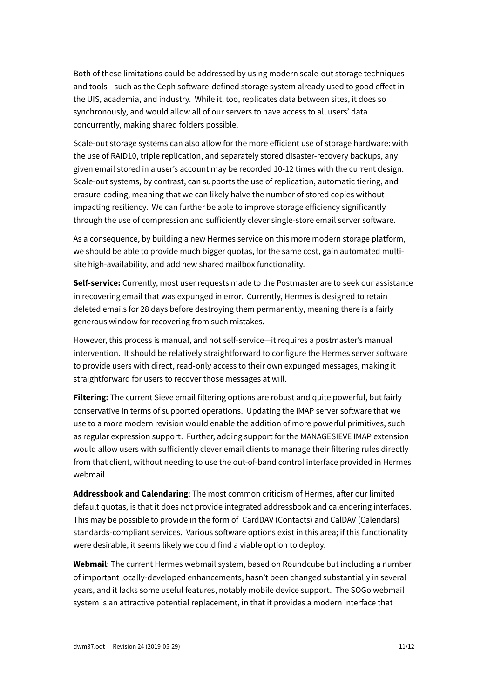Both of these limitations could be addressed by using modern scale-out storage techniques and tools—such as the Ceph software-defined storage system already used to good effect in the UIS, academia, and industry. While it, too, replicates data between sites, it does so synchronously, and would allow all of our servers to have access to all users' data concurrently, making shared folders possible.

Scale-out storage systems can also allow for the more efficient use of storage hardware: with the use of RAID10, triple replication, and separately stored disaster-recovery backups, any given email stored in a user's account may be recorded 10-12 times with the current design. Scale-out systems, by contrast, can supports the use of replication, automatic tiering, and erasure-coding, meaning that we can likely halve the number of stored copies without impacting resiliency. We can further be able to improve storage efficiency significantly through the use of compression and sufficiently clever single-store email server software.

As a consequence, by building a new Hermes service on this more modern storage platform, we should be able to provide much bigger quotas, for the same cost, gain automated multisite high-availability, and add new shared mailbox functionality.

**Self-service:** Currently, most user requests made to the Postmaster are to seek our assistance in recovering email that was expunged in error. Currently, Hermes is designed to retain deleted emails for 28 days before destroying them permanently, meaning there is a fairly generous window for recovering from such mistakes.

However, this process is manual, and not self-service—it requires a postmaster's manual intervention. It should be relatively straightforward to configure the Hermes server software to provide users with direct, read-only access to their own expunged messages, making it straightforward for users to recover those messages at will.

**Filtering:** The current Sieve email filtering options are robust and quite powerful, but fairly conservative in terms of supported operations. Updating the IMAP server software that we use to a more modern revision would enable the addition of more powerful primitives, such as regular expression support. Further, adding support for the MANAGESIEVE IMAP extension would allow users with sufficiently clever email clients to manage their filtering rules directly from that client, without needing to use the out-of-band control interface provided in Hermes webmail.

**Addressbook and Calendaring**: The most common criticism of Hermes, after our limited default quotas, is that it does not provide integrated addressbook and calendering interfaces. This may be possible to provide in the form of CardDAV (Contacts) and CalDAV (Calendars) standards-compliant services. Various software options exist in this area; if this functionality were desirable, it seems likely we could find a viable option to deploy.

**Webmail**: The current Hermes webmail system, based on Roundcube but including a number of important locally-developed enhancements, hasn't been changed substantially in several years, and it lacks some useful features, notably mobile device support. The SOGo webmail system is an attractive potential replacement, in that it provides a modern interface that